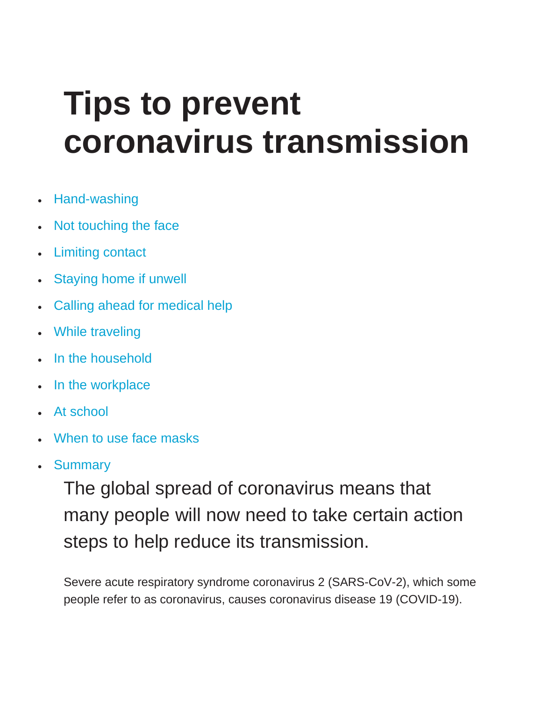# **Tips to prevent coronavirus transmission**

- [Hand-washing](https://www.medicalnewstoday.com/articles/coronavirus-prevention#hand-washing)
- [Not touching the face](https://www.medicalnewstoday.com/articles/coronavirus-prevention#not-touching-the-face)
- [Limiting contact](https://www.medicalnewstoday.com/articles/coronavirus-prevention#limiting-contact)
- **[Staying home if unwell](https://www.medicalnewstoday.com/articles/coronavirus-prevention#staying-home-if-unwell)**
- [Calling ahead for medical help](https://www.medicalnewstoday.com/articles/coronavirus-prevention#calling-ahead-for-medical-help)
- [While traveling](https://www.medicalnewstoday.com/articles/coronavirus-prevention#while-traveling)
- [In the household](https://www.medicalnewstoday.com/articles/coronavirus-prevention#in-the-household)
- [In the workplace](https://www.medicalnewstoday.com/articles/coronavirus-prevention#in-the-workplace)
- [At school](https://www.medicalnewstoday.com/articles/coronavirus-prevention#at-school)
- [When to use face masks](https://www.medicalnewstoday.com/articles/coronavirus-prevention#when-to-use-face-masks)
- **[Summary](https://www.medicalnewstoday.com/articles/coronavirus-prevention#summary)**

The global spread of coronavirus means that many people will now need to take certain action steps to help reduce its transmission.

Severe acute respiratory syndrome coronavirus 2 (SARS-CoV-2), which some people refer to as coronavirus, causes coronavirus disease 19 (COVID-19).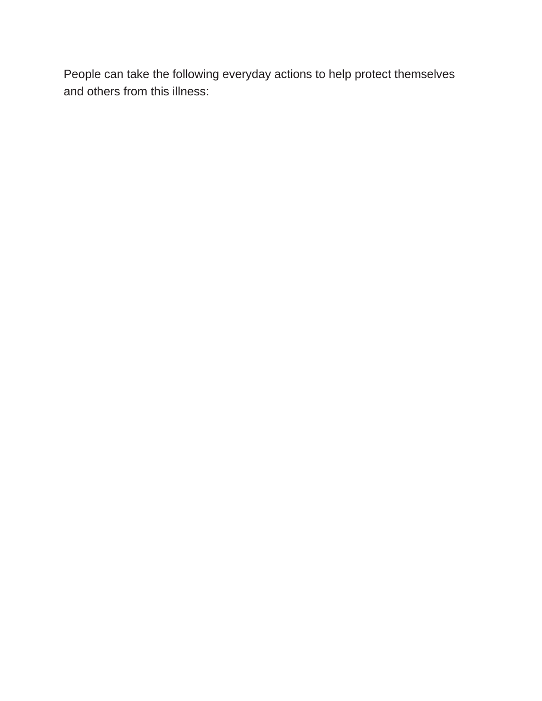People can take the following everyday actions to help protect themselves and others from this illness: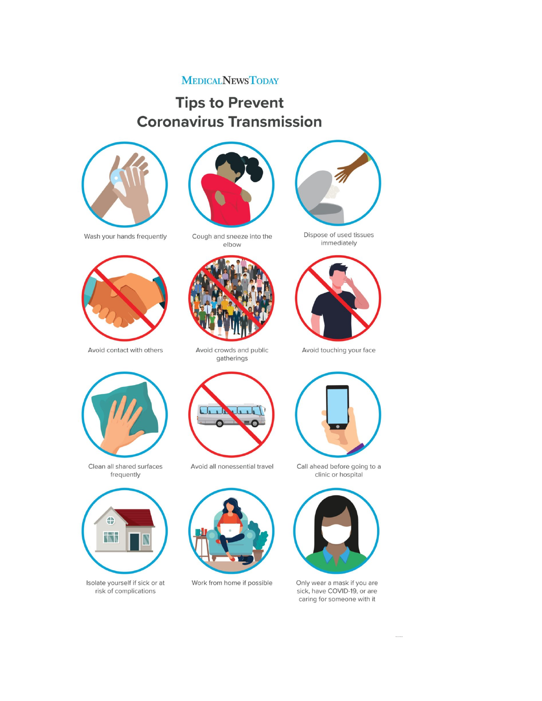#### **MEDICALNEWSTODAY**

#### **Tips to Prevent Coronavirus Transmission**



Wash your hands frequently



Avoid contact with others



Cough and sneeze into the elbow



Avoid crowds and public gatherings



immediately



Avoid touching your face



Clean all shared surfaces frequently



Isolate yourself if sick or at risk of complications



Avoid all nonessential travel



Work from home if possible





Only wear a mask if you are sick, have COVID-19, or are caring for someone with it

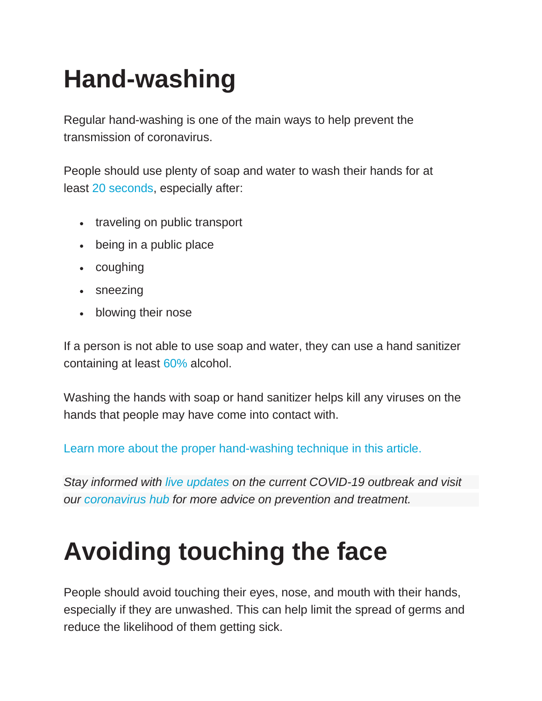## **Hand-washing**

Regular hand-washing is one of the main ways to help prevent the transmission of coronavirus.

People should use plenty of soap and water to wash their hands for at least [20 seconds,](https://www.cdc.gov/coronavirus/2019-ncov/prepare/prevention.html) especially after:

- traveling on public transport
- being in a public place
- coughing
- sneezing
- blowing their nose

If a person is not able to use soap and water, they can use a hand sanitizer containing at least [60%](https://www.cdc.gov/coronavirus/2019-ncov/prepare/prevention.html) alcohol.

Washing the hands with soap or hand sanitizer helps kill any viruses on the hands that people may have come into contact with.

[Learn more about the proper hand-washing technique in this article.](https://www.medicalnewstoday.com/articles/proper-hand-washing)

*Stay informed with [live updates](https://www.medicalnewstoday.com/articles/live-updates-coronavirus-covid-19) on the current COVID-19 outbreak and visit our [coronavirus hub](https://www.medicalnewstoday.com/coronavirus) for more advice on prevention and treatment.*

### **Avoiding touching the face**

People should avoid touching their eyes, nose, and mouth with their hands, especially if they are unwashed. This can help limit the spread of germs and reduce the likelihood of them getting sick.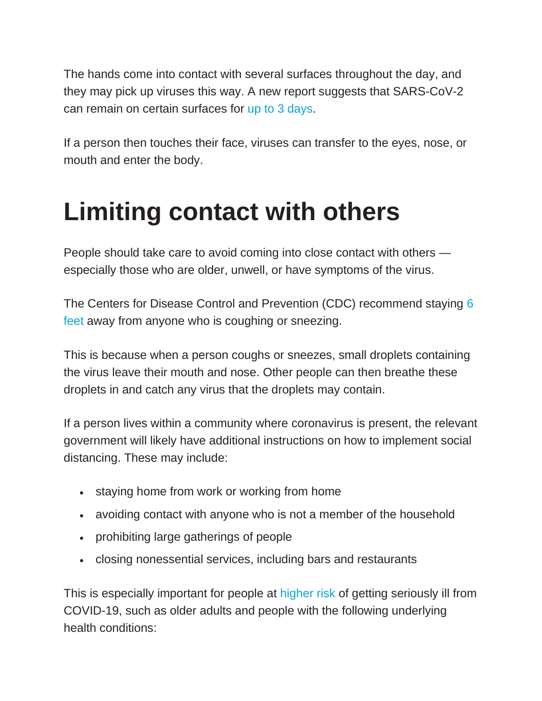The hands come into contact with several surfaces throughout the day, and they may pick up viruses this way. A new report suggests that SARS-CoV-2 can remain on certain surfaces for [up to 3 days.](https://www.nejm.org/doi/full/10.1056/NEJMc2004973?referringSource=articleShare)

If a person then touches their face, viruses can transfer to the eyes, nose, or mouth and enter the body.

#### **Limiting contact with others**

People should take care to avoid coming into close contact with others especially those who are older, unwell, or have symptoms of the virus.

The Centers for Disease Control and Prevention (CDC) recommend staying [6](https://www.cdc.gov/coronavirus/2019-ncov/prepare/transmission.html)  [feet](https://www.cdc.gov/coronavirus/2019-ncov/prepare/transmission.html) away from anyone who is coughing or sneezing.

This is because when a person coughs or sneezes, small droplets containing the virus leave their mouth and nose. Other people can then breathe these droplets in and catch any virus that the droplets may contain.

If a person lives within a community where coronavirus is present, the relevant government will likely have additional instructions on how to implement social distancing. These may include:

- staying home from work or working from home
- avoiding contact with anyone who is not a member of the household
- prohibiting large gatherings of people
- closing nonessential services, including bars and restaurants

This is especially important for people at [higher risk](https://www.cdc.gov/coronavirus/2019-ncov/specific-groups/high-risk-complications.html) of getting seriously ill from COVID-19, such as older adults and people with the following underlying health conditions: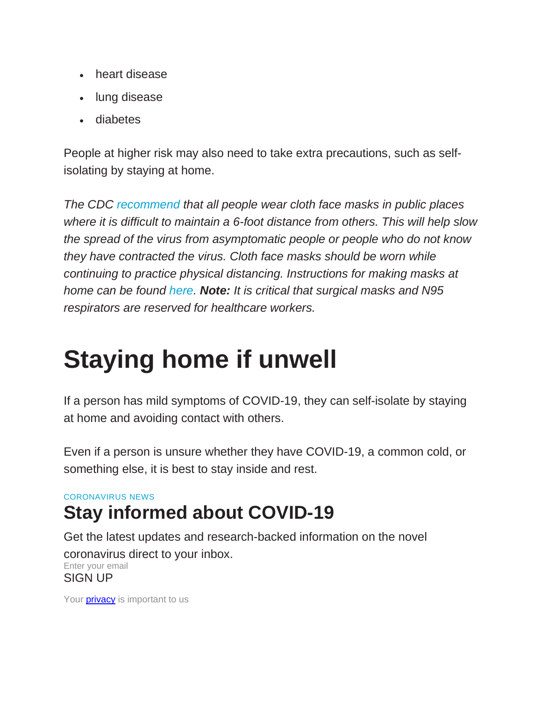- heart disease
- lung disease
- diabetes

People at higher risk may also need to take extra precautions, such as selfisolating by staying at home.

*The CDC [recommend](https://www.cdc.gov/coronavirus/2019-ncov/prevent-getting-sick/diy-cloth-face-coverings.html) that all people wear cloth face masks in public places where it is difficult to maintain a 6-foot distance from others. This will help slow the spread of the virus from asymptomatic people or people who do not know they have contracted the virus. Cloth face masks should be worn while continuing to practice physical distancing. Instructions for making masks at home can be found [here.](https://www.cdc.gov/coronavirus/2019-ncov/prevent-getting-sick/diy-cloth-face-coverings.html) Note: It is critical that surgical masks and N95 respirators are reserved for healthcare workers.*

### **Staying home if unwell**

If a person has mild symptoms of COVID-19, they can self-isolate by staying at home and avoiding contact with others.

Even if a person is unsure whether they have COVID-19, a common cold, or something else, it is best to stay inside and rest.

#### CORONAVIRUS NEWS

#### **Stay informed about COVID-19**

Get the latest updates and research-backed information on the novel coronavirus direct to your inbox. Enter your email SIGN UP

Your **[privacy](https://www.medicalnewstoday.com/privacy-policy)** is important to us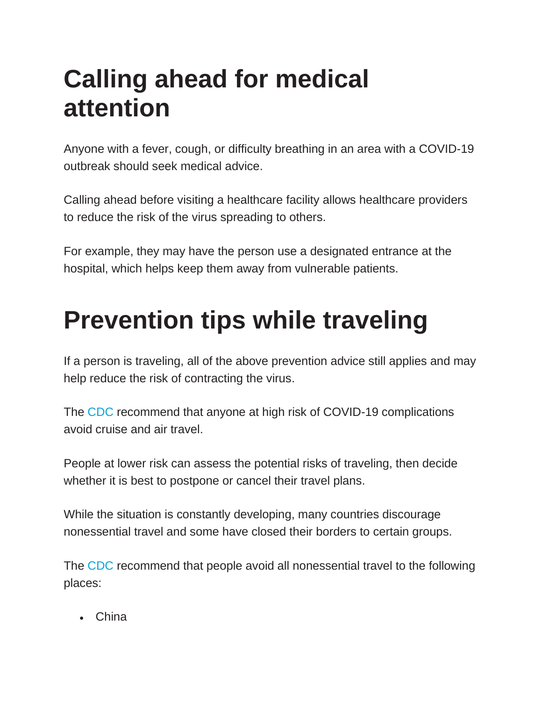### **Calling ahead for medical attention**

Anyone with a fever, cough, or difficulty breathing in an area with a COVID-19 outbreak should seek medical advice.

Calling ahead before visiting a healthcare facility allows healthcare providers to reduce the risk of the virus spreading to others.

For example, they may have the person use a designated entrance at the hospital, which helps keep them away from vulnerable patients.

### **Prevention tips while traveling**

If a person is traveling, all of the above prevention advice still applies and may help reduce the risk of contracting the virus.

The [CDC](https://www.cdc.gov/coronavirus/2019-ncov/travelers/travel-in-the-us.html) recommend that anyone at high risk of COVID-19 complications avoid cruise and air travel.

People at lower risk can assess the potential risks of traveling, then decide whether it is best to postpone or cancel their travel plans.

While the situation is constantly developing, many countries discourage nonessential travel and some have closed their borders to certain groups.

The [CDC](https://www.cdc.gov/coronavirus/2019-ncov/travelers/after-travel-precautions.html) recommend that people avoid all nonessential travel to the following places:

• China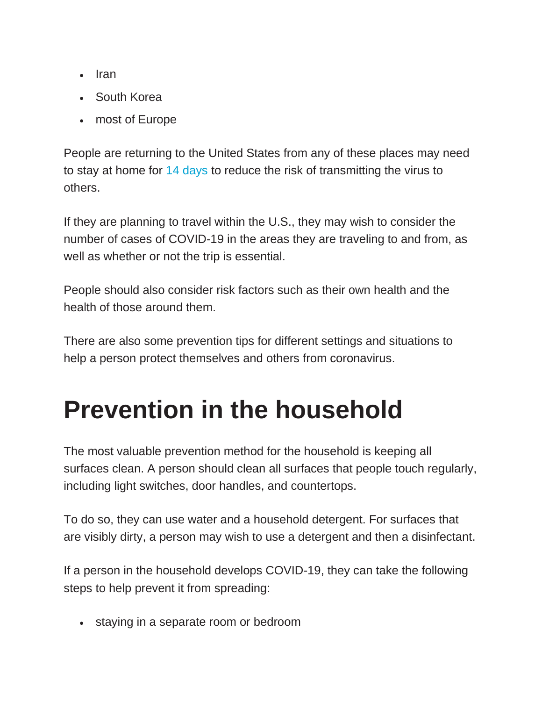- Iran
- South Korea
- most of Europe

People are returning to the United States from any of these places may need to stay at home for [14 days](https://www.cdc.gov/coronavirus/2019-ncov/travelers/after-travel-precautions.html) to reduce the risk of transmitting the virus to others.

If they are planning to travel within the U.S., they may wish to consider the number of cases of COVID-19 in the areas they are traveling to and from, as well as whether or not the trip is essential.

People should also consider risk factors such as their own health and the health of those around them.

There are also some prevention tips for different settings and situations to help a person protect themselves and others from coronavirus.

## **Prevention in the household**

The most valuable prevention method for the household is keeping all surfaces clean. A person should clean all surfaces that people touch regularly, including light switches, door handles, and countertops.

To do so, they can use water and a household detergent. For surfaces that are visibly dirty, a person may wish to use a detergent and then a disinfectant.

If a person in the household develops COVID-19, they can take the following steps to help prevent it from spreading:

• staying in a separate room or bedroom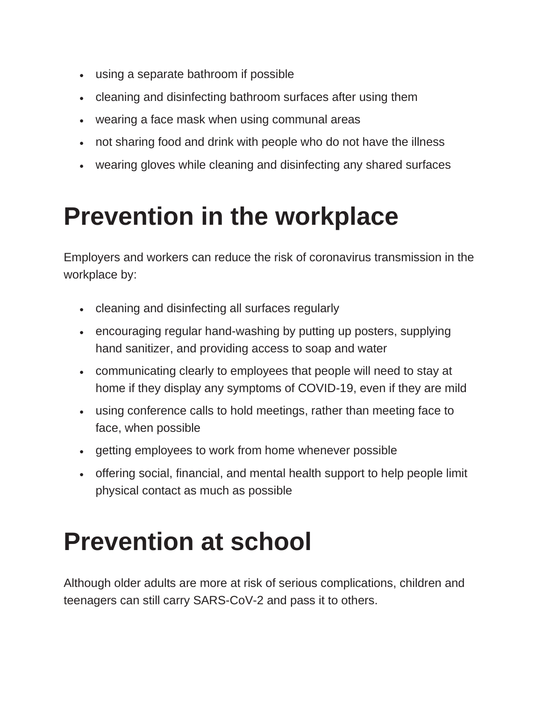- using a separate bathroom if possible
- cleaning and disinfecting bathroom surfaces after using them
- wearing a face mask when using communal areas
- not sharing food and drink with people who do not have the illness
- wearing gloves while cleaning and disinfecting any shared surfaces

#### **Prevention in the workplace**

Employers and workers can reduce the risk of coronavirus transmission in the workplace by:

- cleaning and disinfecting all surfaces regularly
- encouraging regular hand-washing by putting up posters, supplying hand sanitizer, and providing access to soap and water
- communicating clearly to employees that people will need to stay at home if they display any symptoms of COVID-19, even if they are mild
- using conference calls to hold meetings, rather than meeting face to face, when possible
- getting employees to work from home whenever possible
- offering social, financial, and mental health support to help people limit physical contact as much as possible

#### **Prevention at school**

Although older adults are more at risk of serious complications, children and teenagers can still carry SARS-CoV-2 and pass it to others.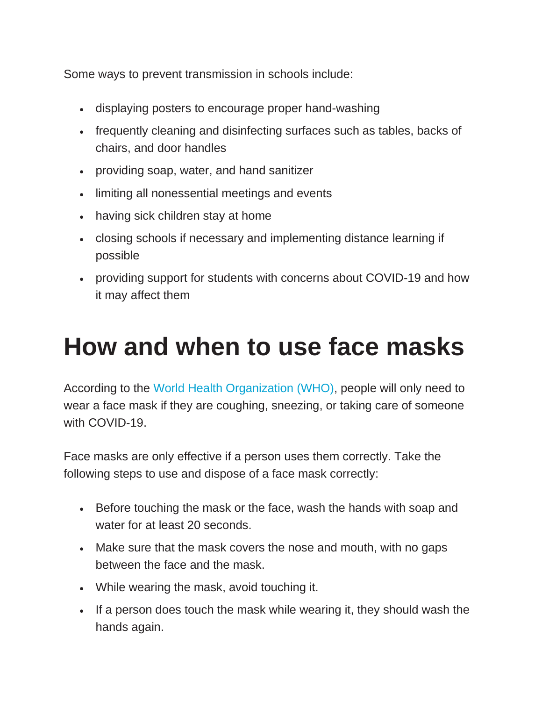Some ways to prevent transmission in schools include:

- displaying posters to encourage proper hand-washing
- frequently cleaning and disinfecting surfaces such as tables, backs of chairs, and door handles
- providing soap, water, and hand sanitizer
- limiting all nonessential meetings and events
- having sick children stay at home
- closing schools if necessary and implementing distance learning if possible
- providing support for students with concerns about COVID-19 and how it may affect them

#### **How and when to use face masks**

According to the [World Health Organization \(WHO\),](https://www.who.int/emergencies/diseases/novel-coronavirus-2019/advice-for-public/when-and-how-to-use-masks) people will only need to wear a face mask if they are coughing, sneezing, or taking care of someone with COVID-19.

Face masks are only effective if a person uses them correctly. Take the following steps to use and dispose of a face mask correctly:

- Before touching the mask or the face, wash the hands with soap and water for at least 20 seconds.
- Make sure that the mask covers the nose and mouth, with no gaps between the face and the mask.
- While wearing the mask, avoid touching it.
- If a person does touch the mask while wearing it, they should wash the hands again.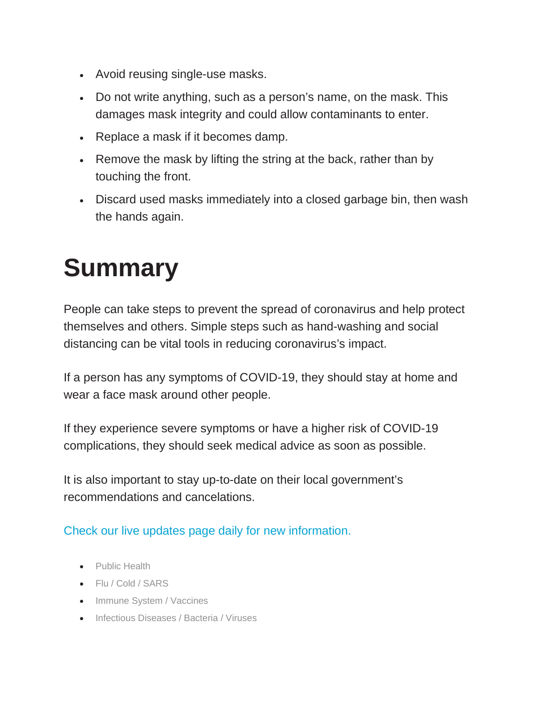- Avoid reusing single-use masks.
- Do not write anything, such as a person's name, on the mask. This damages mask integrity and could allow contaminants to enter.
- Replace a mask if it becomes damp.
- Remove the mask by lifting the string at the back, rather than by touching the front.
- Discard used masks immediately into a closed garbage bin, then wash the hands again.

### **Summary**

People can take steps to prevent the spread of coronavirus and help protect themselves and others. Simple steps such as hand-washing and social distancing can be vital tools in reducing coronavirus's impact.

If a person has any symptoms of COVID-19, they should stay at home and wear a face mask around other people.

If they experience severe symptoms or have a higher risk of COVID-19 complications, they should seek medical advice as soon as possible.

It is also important to stay up-to-date on their local government's recommendations and cancelations.

#### [Check our live updates page daily for new information.](https://www.medicalnewstoday.com/articles/live-updates-coronavirus-covid-19#1)

- [Public Health](https://www.medicalnewstoday.com/categories/public-health)
- [Flu / Cold / SARS](https://www.medicalnewstoday.com/categories/flu-sars)
- [Immune System / Vaccines](https://www.medicalnewstoday.com/categories/immune-system)
- [Infectious Diseases / Bacteria / Viruses](https://www.medicalnewstoday.com/categories/infectious_diseases)